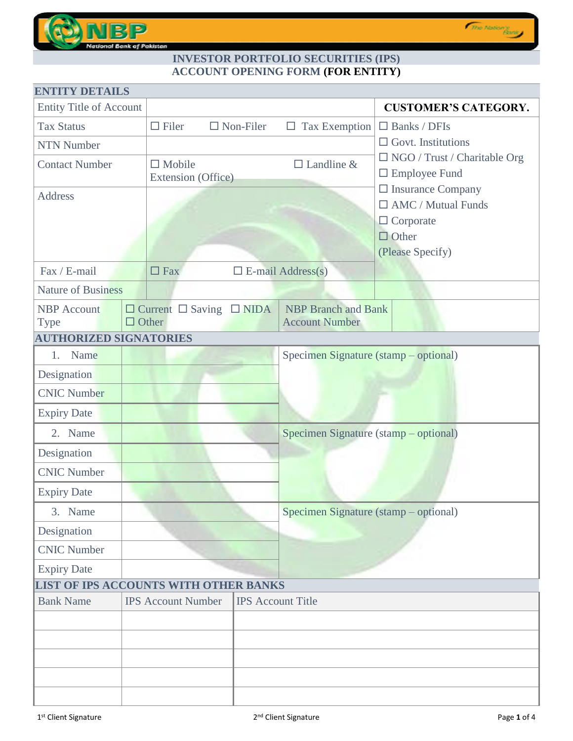

# **INVESTOR PORTFOLIO SECURITIES (IPS) ACCOUNT OPENING FORM (FOR ENTITY)**

| <b>ENTITY DETAILS</b>                        |                                                          |                     |                                       |                                                  |
|----------------------------------------------|----------------------------------------------------------|---------------------|---------------------------------------|--------------------------------------------------|
| <b>Entity Title of Account</b>               |                                                          |                     |                                       | <b>CUSTOMER'S CATEGORY.</b>                      |
| <b>Tax Status</b>                            | $\Box$ Filer                                             | $\square$ Non-Filer | $\Box$ Tax Exemption                  | $\Box$ Banks / DFIs                              |
| <b>NTN Number</b>                            |                                                          |                     |                                       | $\Box$ Govt. Institutions                        |
| <b>Contact Number</b>                        | $\Box$ Mobile<br>Extension (Office)                      |                     | $\Box$ Landline &                     | $\Box$ NGO / Trust / Charitable Org              |
|                                              |                                                          |                     |                                       | $\Box$ Employee Fund<br>$\Box$ Insurance Company |
| <b>Address</b>                               |                                                          |                     |                                       | $\Box$ AMC / Mutual Funds                        |
|                                              |                                                          |                     |                                       | $\Box$ Corporate                                 |
|                                              |                                                          |                     |                                       | $\Box$ Other                                     |
|                                              |                                                          |                     |                                       | (Please Specify)                                 |
| Fax / E-mail                                 | $\Box$ Fax                                               |                     | $\Box$ E-mail Address(s)              |                                                  |
| <b>Nature of Business</b>                    |                                                          |                     |                                       |                                                  |
| <b>NBP</b> Account                           | $\Box$ Current $\Box$ Saving $\Box$ NIDA<br>$\Box$ Other |                     | <b>NBP</b> Branch and Bank            |                                                  |
| <b>Type</b><br><b>AUTHORIZED SIGNATORIES</b> |                                                          |                     | <b>Account Number</b>                 |                                                  |
| Name<br>1.                                   |                                                          |                     | Specimen Signature (stamp – optional) |                                                  |
| Designation                                  |                                                          |                     |                                       |                                                  |
| <b>CNIC Number</b>                           |                                                          |                     |                                       |                                                  |
| <b>Expiry Date</b>                           |                                                          |                     |                                       |                                                  |
| 2. Name                                      |                                                          |                     | Specimen Signature (stamp – optional) |                                                  |
| Designation                                  |                                                          |                     |                                       |                                                  |
| <b>CNIC Number</b>                           |                                                          |                     |                                       |                                                  |
| <b>Expiry Date</b>                           |                                                          |                     |                                       |                                                  |
| 3. Name                                      |                                                          |                     | Specimen Signature (stamp – optional) |                                                  |
| Designation                                  |                                                          |                     |                                       |                                                  |
| <b>CNIC Number</b>                           |                                                          |                     |                                       |                                                  |
| <b>Expiry Date</b>                           |                                                          |                     |                                       |                                                  |
| LIST OF IPS ACCOUNTS WITH OTHER BANKS        |                                                          |                     |                                       |                                                  |
| <b>Bank Name</b>                             | <b>IPS Account Number</b>                                |                     | <b>IPS</b> Account Title              |                                                  |
|                                              |                                                          |                     |                                       |                                                  |
|                                              |                                                          |                     |                                       |                                                  |
|                                              |                                                          |                     |                                       |                                                  |
|                                              |                                                          |                     |                                       |                                                  |
|                                              |                                                          |                     |                                       |                                                  |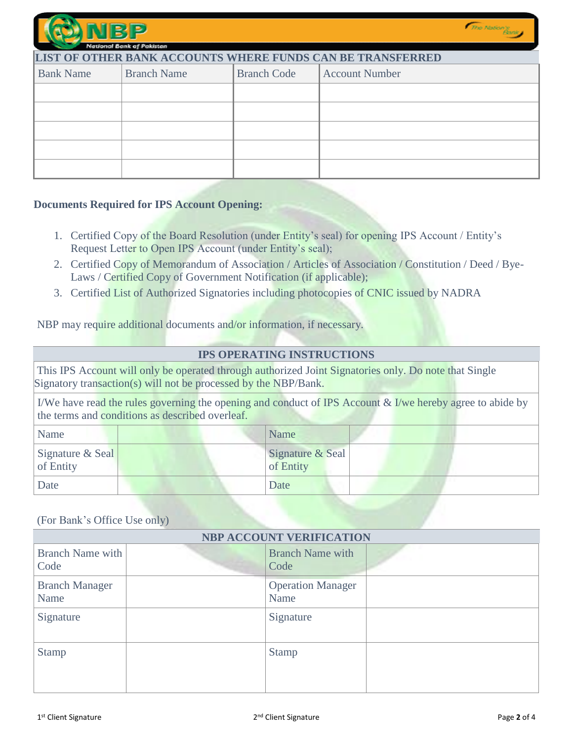| NIBIL                                                      | National Bank of Pakistan |                    |                       | <i>The Nation's</i> |  |  |
|------------------------------------------------------------|---------------------------|--------------------|-----------------------|---------------------|--|--|
| LIST OF OTHER BANK ACCOUNTS WHERE FUNDS CAN BE TRANSFERRED |                           |                    |                       |                     |  |  |
| <b>Bank Name</b>                                           | <b>Branch Name</b>        | <b>Branch Code</b> | <b>Account Number</b> |                     |  |  |
|                                                            |                           |                    |                       |                     |  |  |
|                                                            |                           |                    |                       |                     |  |  |
|                                                            |                           |                    |                       |                     |  |  |
|                                                            |                           |                    |                       |                     |  |  |
|                                                            |                           |                    |                       |                     |  |  |

### **Documents Required for IPS Account Opening:**

- 1. Certified Copy of the Board Resolution (under Entity's seal) for opening IPS Account / Entity's Request Letter to Open IPS Account (under Entity's seal);
- 2. Certified Copy of Memorandum of Association / Articles of Association / Constitution / Deed / Bye-Laws / Certified Copy of Government Notification (if applicable);
- 3. Certified List of Authorized Signatories including photocopies of CNIC issued by NADRA

NBP may require additional documents and/or information, if necessary.

## **IPS OPERATING INSTRUCTIONS**

This IPS Account will only be operated through authorized Joint Signatories only. Do note that Single Signatory transaction(s) will not be processed by the NBP/Bank.

I/We have read the rules governing the opening and conduct of IPS Account & I/we hereby agree to abide by the terms and conditions as described overleaf.

| Name                          | Name                          |
|-------------------------------|-------------------------------|
| Signature & Seal<br>of Entity | Signature & Seal<br>of Entity |
| Date                          | Date                          |

### (For Bank's Office Use only)

| <b>NBP ACCOUNT VERIFICATION</b> |                                  |  |  |  |
|---------------------------------|----------------------------------|--|--|--|
| <b>Branch Name with</b><br>Code | <b>Branch Name with</b><br>Code  |  |  |  |
| <b>Branch Manager</b><br>Name   | <b>Operation Manager</b><br>Name |  |  |  |
| Signature                       | Signature                        |  |  |  |
| <b>Stamp</b>                    | <b>Stamp</b>                     |  |  |  |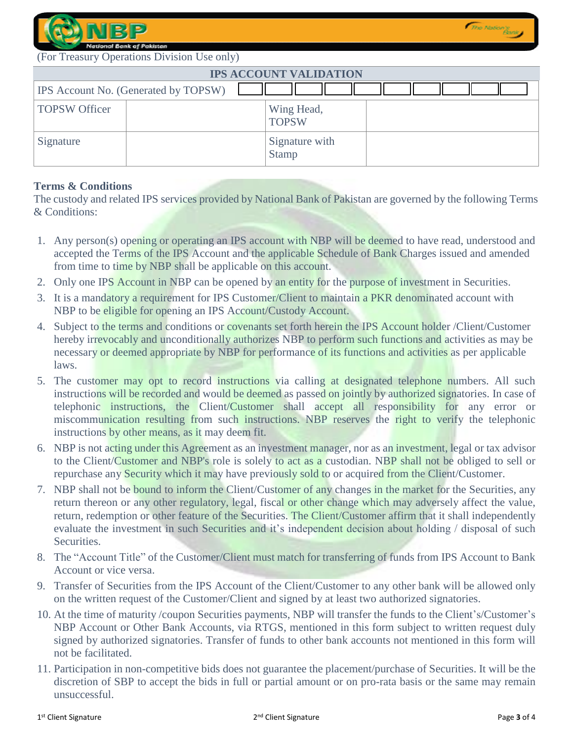

(For Treasury Operations Division Use only)

| <b>IPS ACCOUNT VALIDATION</b> |                                      |                                |  |  |  |
|-------------------------------|--------------------------------------|--------------------------------|--|--|--|
|                               | IPS Account No. (Generated by TOPSW) |                                |  |  |  |
| <b>TOPSW Officer</b>          |                                      | Wing Head,<br><b>TOPSW</b>     |  |  |  |
| Signature                     |                                      | Signature with<br><b>Stamp</b> |  |  |  |

### **Terms & Conditions**

The custody and related IPS services provided by National Bank of Pakistan are governed by the following Terms & Conditions:

- 1. Any person(s) opening or operating an IPS account with NBP will be deemed to have read, understood and accepted the Terms of the IPS Account and the applicable Schedule of Bank Charges issued and amended from time to time by NBP shall be applicable on this account.
- 2. Only one IPS Account in NBP can be opened by an entity for the purpose of investment in Securities.
- 3. It is a mandatory a requirement for IPS Customer/Client to maintain a PKR denominated account with NBP to be eligible for opening an IPS Account/Custody Account.
- 4. Subject to the terms and conditions or covenants set forth herein the IPS Account holder /Client/Customer hereby irrevocably and unconditionally authorizes NBP to perform such functions and activities as may be necessary or deemed appropriate by NBP for performance of its functions and activities as per applicable laws.
- 5. The customer may opt to record instructions via calling at designated telephone numbers. All such instructions will be recorded and would be deemed as passed on jointly by authorized signatories. In case of telephonic instructions, the Client/Customer shall accept all responsibility for any error or miscommunication resulting from such instructions. NBP reserves the right to verify the telephonic instructions by other means, as it may deem fit.
- 6. NBP is not acting under this Agreement as an investment manager, nor as an investment, legal or tax advisor to the Client/Customer and NBP's role is solely to act as a custodian. NBP shall not be obliged to sell or repurchase any Security which it may have previously sold to or acquired from the Client/Customer.
- 7. NBP shall not be bound to inform the Client/Customer of any changes in the market for the Securities, any return thereon or any other regulatory, legal, fiscal or other change which may adversely affect the value, return, redemption or other feature of the Securities. The Client/Customer affirm that it shall independently evaluate the investment in such Securities and it's independent decision about holding / disposal of such Securities.
- 8. The "Account Title" of the Customer/Client must match for transferring of funds from IPS Account to Bank Account or vice versa.
- 9. Transfer of Securities from the IPS Account of the Client/Customer to any other bank will be allowed only on the written request of the Customer/Client and signed by at least two authorized signatories.
- 10. At the time of maturity /coupon Securities payments, NBP will transfer the funds to the Client's/Customer's NBP Account or Other Bank Accounts, via RTGS, mentioned in this form subject to written request duly signed by authorized signatories. Transfer of funds to other bank accounts not mentioned in this form will not be facilitated.
- 11. Participation in non-competitive bids does not guarantee the placement/purchase of Securities. It will be the discretion of SBP to accept the bids in full or partial amount or on pro-rata basis or the same may remain unsuccessful.